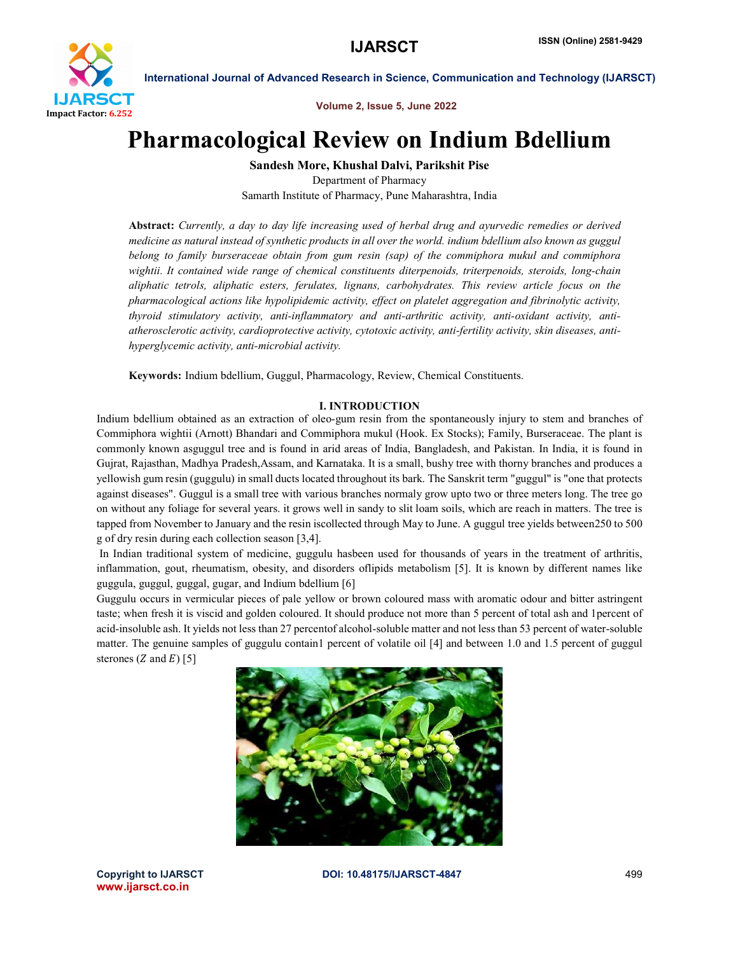

Volume 2, Issue 5, June 2022

# Pharmacological Review on Indium Bdellium

Sandesh More, Khushal Dalvi, Parikshit Pise

Department of Pharmacy Samarth Institute of Pharmacy, Pune Maharashtra, India

Abstract: *Currently, a day to day life increasing used of herbal drug and ayurvedic remedies or derived medicine as natural instead of synthetic products in all over the world. indium bdellium also known as guggul belong to family burseraceae obtain from gum resin (sap) of the commiphora mukul and commiphora wightii.IIt contained wide range of chemical constituents diterpenoids, triterpenoids, steroids, long-chain aliphatic tetrols, aliphatic esters, ferulates, lignans, carbohydrates. This review article focus on the pharmacological actions like hypolipidemic activity, effect on platelet aggregation and fibrinolytic activity, thyroid stimulatory activity, anti-inflammatory and anti-arthritic activity, anti-oxidant activity, antiatherosclerotic activity, cardioprotective activity, cytotoxic activity, anti-fertility activity, skin diseases, antihyperglycemic activity, anti-microbial activity.*

Keywords: Indium bdellium, Guggul, Pharmacology, Review, Chemical Constituents.

#### I. INTRODUCTION

Indium bdellium obtained as an extraction of oleo-gum resin from the spontaneously injury to stem and branches of Commiphora wightii (Arnott) Bhandari and Commiphora mukul (Hook. Ex Stocks); Family, Burseraceae. The plant is commonly known asguggul tree and is found in arid areas of India, Bangladesh, and Pakistan. In India, it is found in Gujrat, Rajasthan, Madhya Pradesh,Assam, and Karnataka. It is a small, bushy tree with thorny branches and produces a yellowish gum resin (guggulu) in small ducts located throughout its bark. The Sanskrit term "guggul" is "one that protects against diseases". Guggul is a small tree with various branches normaly grow upto two or three meters long. The tree go on without any foliage for several years. it grows well in sandy to slit loam soils, which are reach in matters. The tree is tapped from November to January and the resin iscollected through May to June. A guggul tree yields between250 to 500 g of dry resin during each collection season [3,4].

In Indian traditional system of medicine, guggulu hasbeen used for thousands of years in the treatment of arthritis, inflammation, gout, rheumatism, obesity, and disorders oflipids metabolism [5]. It is known by different names like guggula, guggul, guggal, gugar, and Indium bdellium [6]

Guggulu occurs in vermicular pieces of pale yellow or brown coloured mass with aromatic odour and bitter astringent taste; when fresh it is viscid and golden coloured. It should produce not more than 5 percent of total ash and 1percent of acid-insoluble ash. It yields not less than 27 percentof alcohol-soluble matter and not less than 53 percent of water-soluble matter. The genuine samples of guggulu contain1 percent of volatile oil [4] and between 1.0 and 1.5 percent of guggul sterones ( $Z$  and  $E$ ) [5]



www.ijarsct.co.in

Copyright to IJARSCT DOI: 10.48175/IJARSCT-4847 499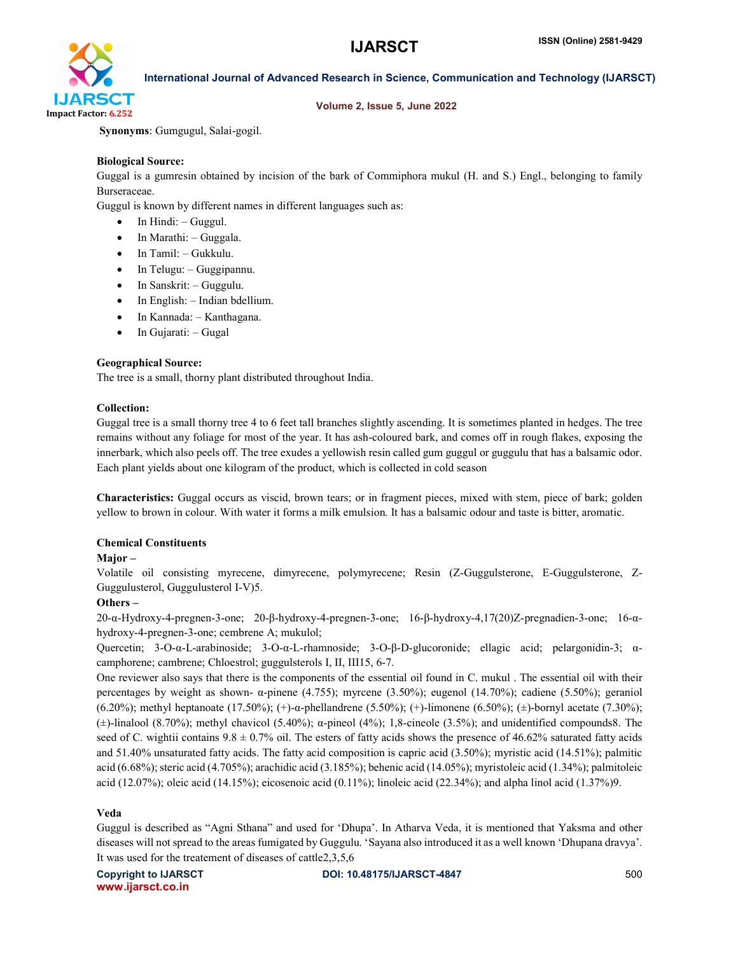

#### Volume 2, Issue 5, June 2022

Synonyms: Gumgugul, Salai-gogil.

#### Biological Source:

Guggal is a gumresin obtained by incision of the bark of Commiphora mukul (H. and S.) Engl., belonging to family Burseraceae.

Guggul is known by different names in different languages such as:

- In Hindi: Guggul.
- $\bullet$  In Marathi: Guggala.
- In Tamil: Gukkulu.
- In Telugu: Guggipannu.
- In Sanskrit: Guggulu.
- In English: Indian bdellium.
- In Kannada: Kanthagana.
- $\bullet$  In Gujarati: Gugal

#### Geographical Source:

The tree is a small, thorny plant distributed throughout India.

#### Collection:

Guggal tree is a small thorny tree 4 to 6 feet tall branches slightly ascending. It is sometimes planted in hedges. The tree remains without any foliage for most of the year. It has ash-coloured bark, and comes off in rough flakes, exposing the innerbark, which also peels off. The tree exudes a yellowish resin called gum guggul or guggulu that has a balsamic odor. Each plant yields about one kilogram of the product, which is collected in cold season

Characteristics: Guggal occurs as viscid, brown tears; or in fragment pieces, mixed with stem, piece of bark; golden yellow to brown in colour. With water it forms a milk emulsion. It has a balsamic odour and taste is bitter, aromatic.

#### Chemical Constituents

#### Major –

Volatile oil consisting myrecene, dimyrecene, polymyrecene; Resin (Z-Guggulsterone, E-Guggulsterone, Z-Guggulusterol, Guggulusterol I-V)5.

#### Others –

20-α-Hydroxy-4-pregnen-3-one; 20-β-hydroxy-4-pregnen-3-one; 16-β-hydroxy-4,17(20)Z-pregnadien-3-one; 16-αhydroxy-4-pregnen-3-one; cembrene A; mukulol;

Quercetin; 3-O-α-L-arabinoside; 3-O-α-L-rhamnoside; 3-O-β-D-glucoronide; ellagic acid; pelargonidin-3; αcamphorene; cambrene; Chloestrol; guggulsterols I, II, III15, 6-7.

One reviewer also says that there is the components of the essential oil found in C. mukul . The essential oil with their percentages by weight as shown- α-pinene (4.755); myrcene (3.50%); eugenol (14.70%); cadiene (5.50%); geraniol (6.20%); methyl heptanoate (17.50%); (+)-α-phellandrene (5.50%); (+)-limonene (6.50%); (±)-bornyl acetate (7.30%); ( $\pm$ )-linalool (8.70%); methyl chavicol (5.40%);  $\alpha$ -pineol (4%); 1,8-cineole (3.5%); and unidentified compounds8. The seed of C. wightii contains  $9.8 \pm 0.7\%$  oil. The esters of fatty acids shows the presence of 46.62% saturated fatty acids and 51.40% unsaturated fatty acids. The fatty acid composition is capric acid (3.50%); myristic acid (14.51%); palmitic acid (6.68%); steric acid (4.705%); arachidic acid (3.185%); behenic acid (14.05%); myristoleic acid (1.34%); palmitoleic acid (12.07%); oleic acid (14.15%); eicosenoic acid (0.11%); linoleic acid (22.34%); and alpha linol acid (1.37%)9.

#### Veda

Guggul is described as "Agni Sthana" and used for 'Dhupa'. In Atharva Veda, it is mentioned that Yaksma and other diseases will not spread to the areas fumigated by Guggulu. 'Sayana also introduced it as a well known 'Dhupana dravya'. It was used for the treatement of diseases of cattle2,3,5,6

www.ijarsct.co.in

Copyright to IJARSCT DOI: 10.48175/IJARSCT-4847 500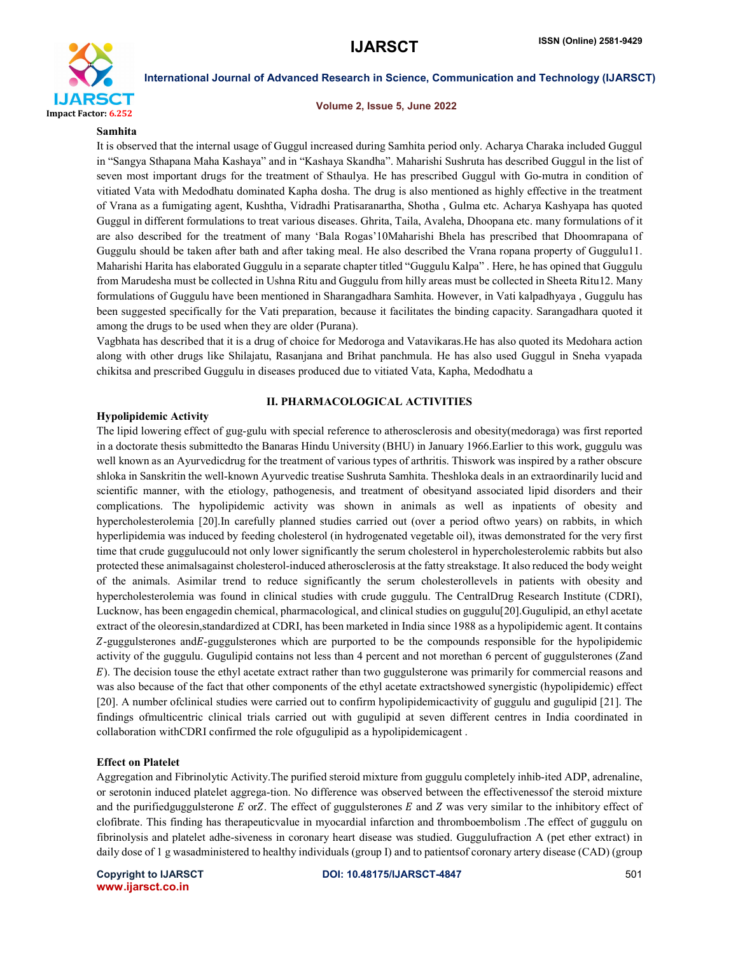

#### Volume 2, Issue 5, June 2022

#### Samhita

It is observed that the internal usage of Guggul increased during Samhita period only. Acharya Charaka included Guggul in "Sangya Sthapana Maha Kashaya" and in "Kashaya Skandha". Maharishi Sushruta has described Guggul in the list of seven most important drugs for the treatment of Sthaulya. He has prescribed Guggul with Go-mutra in condition of vitiated Vata with Medodhatu dominated Kapha dosha. The drug is also mentioned as highly effective in the treatment of Vrana as a fumigating agent, Kushtha, Vidradhi Pratisaranartha, Shotha , Gulma etc. Acharya Kashyapa has quoted Guggul in different formulations to treat various diseases. Ghrita, Taila, Avaleha, Dhoopana etc. many formulations of it are also described for the treatment of many 'Bala Rogas'10Maharishi Bhela has prescribed that Dhoomrapana of Guggulu should be taken after bath and after taking meal. He also described the Vrana ropana property of Guggulu11. Maharishi Harita has elaborated Guggulu in a separate chapter titled "Guggulu Kalpa" . Here, he has opined that Guggulu from Marudesha must be collected in Ushna Ritu and Guggulu from hilly areas must be collected in Sheeta Ritu12. Many formulations of Guggulu have been mentioned in Sharangadhara Samhita. However, in Vati kalpadhyaya , Guggulu has been suggested specifically for the Vati preparation, because it facilitates the binding capacity. Sarangadhara quoted it among the drugs to be used when they are older (Purana).

Vagbhata has described that it is a drug of choice for Medoroga and Vatavikaras.He has also quoted its Medohara action along with other drugs like Shilajatu, Rasanjana and Brihat panchmula. He has also used Guggul in Sneha vyapada chikitsa and prescribed Guggulu in diseases produced due to vitiated Vata, Kapha, Medodhatu a

#### II. PHARMACOLOGICAL ACTIVITIES

#### Hypolipidemic Activity

The lipid lowering effect of gug-gulu with special reference to atherosclerosis and obesity(medoraga) was first reported in a doctorate thesis submittedto the Banaras Hindu University (BHU) in January 1966.Earlier to this work, guggulu was well known as an Ayurvedicdrug for the treatment of various types of arthritis. Thiswork was inspired by a rather obscure shloka in Sanskritin the well-known Ayurvedic treatise Sushruta Samhita. Theshloka deals in an extraordinarily lucid and scientific manner, with the etiology, pathogenesis, and treatment of obesityand associated lipid disorders and their complications. The hypolipidemic activity was shown in animals as well as inpatients of obesity and hypercholesterolemia [20].In carefully planned studies carried out (over a period oftwo years) on rabbits, in which hyperlipidemia was induced by feeding cholesterol (in hydrogenated vegetable oil), itwas demonstrated for the very first time that crude guggulucould not only lower significantly the serum cholesterol in hypercholesterolemic rabbits but also protected these animalsagainst cholesterol-induced atherosclerosis at the fatty streakstage. It also reduced the body weight of the animals. Asimilar trend to reduce significantly the serum cholesterollevels in patients with obesity and hypercholesterolemia was found in clinical studies with crude guggulu. The CentralDrug Research Institute (CDRI), Lucknow, has been engagedin chemical, pharmacological, and clinical studies on guggulu[20].Gugulipid, an ethyl acetate extract of the oleoresin,standardized at CDRI, has been marketed in India since 1988 as a hypolipidemic agent. It contains Z-guggulsterones and E-guggulsterones which are purported to be the compounds responsible for the hypolipidemic activity of the guggulu. Gugulipid contains not less than 4 percent and not morethan 6 percent of guggulsterones (Zand ). The decision touse the ethyl acetate extract rather than two guggulsterone was primarily for commercial reasons and was also because of the fact that other components of the ethyl acetate extractshowed synergistic (hypolipidemic) effect [20]. A number ofclinical studies were carried out to confirm hypolipidemicactivity of guggulu and gugulipid [21]. The findings ofmulticentric clinical trials carried out with gugulipid at seven different centres in India coordinated in collaboration withCDRI confirmed the role ofgugulipid as a hypolipidemicagent .

#### Effect on Platelet

Aggregation and Fibrinolytic Activity.The purified steroid mixture from guggulu completely inhib-ited ADP, adrenaline, or serotonin induced platelet aggrega-tion. No difference was observed between the effectivenessof the steroid mixture and the purifiedguggulsterone  $E$  or  $Z$ . The effect of guggulsterones  $E$  and  $Z$  was very similar to the inhibitory effect of clofibrate. This finding has therapeuticvalue in myocardial infarction and thromboembolism .The effect of guggulu on fibrinolysis and platelet adhe-siveness in coronary heart disease was studied. Guggulufraction A (pet ether extract) in daily dose of 1 g wasadministered to healthy individuals (group I) and to patientsof coronary artery disease (CAD) (group

www.ijarsct.co.in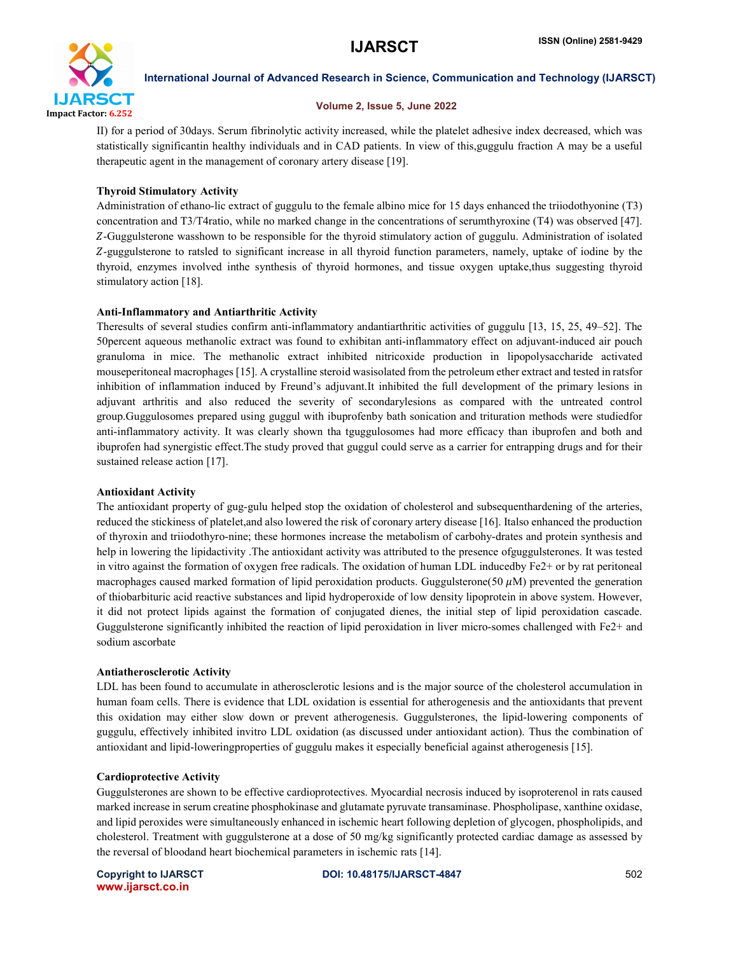

#### Volume 2, Issue 5, June 2022

II) for a period of 30days. Serum fibrinolytic activity increased, while the platelet adhesive index decreased, which was statistically significantin healthy individuals and in CAD patients. In view of this,guggulu fraction A may be a useful therapeutic agent in the management of coronary artery disease [19].

### Thyroid Stimulatory Activity

Administration of ethano-lic extract of guggulu to the female albino mice for 15 days enhanced the triiodothyonine (T3) concentration and T3/T4ratio, while no marked change in the concentrations of serumthyroxine (T4) was observed [47]. -Guggulsterone wasshown to be responsible for the thyroid stimulatory action of guggulu. Administration of isolated -guggulsterone to ratsled to significant increase in all thyroid function parameters, namely, uptake of iodine by the thyroid, enzymes involved inthe synthesis of thyroid hormones, and tissue oxygen uptake,thus suggesting thyroid stimulatory action [18].

#### Anti-Inflammatory and Antiarthritic Activity

Theresults of several studies confirm anti-inflammatory andantiarthritic activities of guggulu [13, 15, 25, 49–52]. The 50percent aqueous methanolic extract was found to exhibitan anti-inflammatory effect on adjuvant-induced air pouch granuloma in mice. The methanolic extract inhibited nitricoxide production in lipopolysaccharide activated mouseperitoneal macrophages [15]. A crystalline steroid wasisolated from the petroleum ether extract and tested in ratsfor inhibition of inflammation induced by Freund's adjuvant.It inhibited the full development of the primary lesions in adjuvant arthritis and also reduced the severity of secondarylesions as compared with the untreated control group.Guggulosomes prepared using guggul with ibuprofenby bath sonication and trituration methods were studiedfor anti-inflammatory activity. It was clearly shown tha tguggulosomes had more efficacy than ibuprofen and both and ibuprofen had synergistic effect.The study proved that guggul could serve as a carrier for entrapping drugs and for their sustained release action [17].

#### Antioxidant Activity

The antioxidant property of gug-gulu helped stop the oxidation of cholesterol and subsequenthardening of the arteries, reduced the stickiness of platelet,and also lowered the risk of coronary artery disease [16]. Italso enhanced the production of thyroxin and triiodothyro-nine; these hormones increase the metabolism of carbohy-drates and protein synthesis and help in lowering the lipidactivity .The antioxidant activity was attributed to the presence ofguggulsterones. It was tested in vitro against the formation of oxygen free radicals. The oxidation of human LDL inducedby Fe2+ or by rat peritoneal macrophages caused marked formation of lipid peroxidation products. Guggulsterone(50  $\mu$ M) prevented the generation of thiobarbituric acid reactive substances and lipid hydroperoxide of low density lipoprotein in above system. However, it did not protect lipids against the formation of conjugated dienes, the initial step of lipid peroxidation cascade. Guggulsterone significantly inhibited the reaction of lipid peroxidation in liver micro-somes challenged with Fe2+ and sodium ascorbate

#### Antiatherosclerotic Activity

LDL has been found to accumulate in atherosclerotic lesions and is the major source of the cholesterol accumulation in human foam cells. There is evidence that LDL oxidation is essential for atherogenesis and the antioxidants that prevent this oxidation may either slow down or prevent atherogenesis. Guggulsterones, the lipid-lowering components of guggulu, effectively inhibited invitro LDL oxidation (as discussed under antioxidant action). Thus the combination of antioxidant and lipid-loweringproperties of guggulu makes it especially beneficial against atherogenesis [15].

### Cardioprotective Activity

Guggulsterones are shown to be effective cardioprotectives. Myocardial necrosis induced by isoproterenol in rats caused marked increase in serum creatine phosphokinase and glutamate pyruvate transaminase. Phospholipase, xanthine oxidase, and lipid peroxides were simultaneously enhanced in ischemic heart following depletion of glycogen, phospholipids, and cholesterol. Treatment with guggulsterone at a dose of 50 mg/kg significantly protected cardiac damage as assessed by the reversal of bloodand heart biochemical parameters in ischemic rats [14].

www.ijarsct.co.in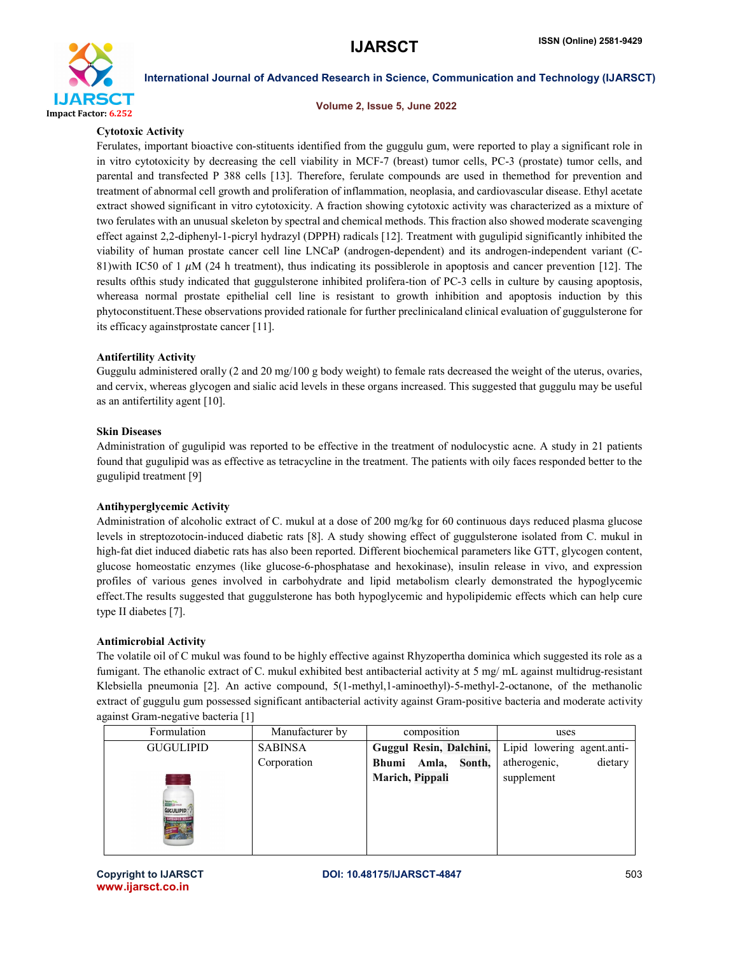

#### Volume 2, Issue 5, June 2022

#### Cytotoxic Activity

Ferulates, important bioactive con-stituents identified from the guggulu gum, were reported to play a significant role in in vitro cytotoxicity by decreasing the cell viability in MCF-7 (breast) tumor cells, PC-3 (prostate) tumor cells, and parental and transfected P 388 cells [13]. Therefore, ferulate compounds are used in themethod for prevention and treatment of abnormal cell growth and proliferation of inflammation, neoplasia, and cardiovascular disease. Ethyl acetate extract showed significant in vitro cytotoxicity. A fraction showing cytotoxic activity was characterized as a mixture of two ferulates with an unusual skeleton by spectral and chemical methods. This fraction also showed moderate scavenging effect against 2,2-diphenyl-1-picryl hydrazyl (DPPH) radicals [12]. Treatment with gugulipid significantly inhibited the viability of human prostate cancer cell line LNCaP (androgen-dependent) and its androgen-independent variant (C-81)with IC50 of 1  $\mu$ M (24 h treatment), thus indicating its possiblerole in apoptosis and cancer prevention [12]. The results ofthis study indicated that guggulsterone inhibited prolifera-tion of PC-3 cells in culture by causing apoptosis, whereasa normal prostate epithelial cell line is resistant to growth inhibition and apoptosis induction by this phytoconstituent.These observations provided rationale for further preclinicaland clinical evaluation of guggulsterone for its efficacy againstprostate cancer [11].

#### Antifertility Activity

Guggulu administered orally (2 and 20 mg/100 g body weight) to female rats decreased the weight of the uterus, ovaries, and cervix, whereas glycogen and sialic acid levels in these organs increased. This suggested that guggulu may be useful as an antifertility agent [10].

#### Skin Diseases

Administration of gugulipid was reported to be effective in the treatment of nodulocystic acne. A study in 21 patients found that gugulipid was as effective as tetracycline in the treatment. The patients with oily faces responded better to the gugulipid treatment [9]

#### Antihyperglycemic Activity

Administration of alcoholic extract of C. mukul at a dose of 200 mg/kg for 60 continuous days reduced plasma glucose levels in streptozotocin-induced diabetic rats [8]. A study showing effect of guggulsterone isolated from C. mukul in high-fat diet induced diabetic rats has also been reported. Different biochemical parameters like GTT, glycogen content, glucose homeostatic enzymes (like glucose-6-phosphatase and hexokinase), insulin release in vivo, and expression profiles of various genes involved in carbohydrate and lipid metabolism clearly demonstrated the hypoglycemic effect.The results suggested that guggulsterone has both hypoglycemic and hypolipidemic effects which can help cure type II diabetes [7].

#### Antimicrobial Activity

The volatile oil of C mukul was found to be highly effective against Rhyzopertha dominica which suggested its role as a fumigant. The ethanolic extract of C. mukul exhibited best antibacterial activity at 5 mg/ mL against multidrug-resistant Klebsiella pneumonia [2]. An active compound, 5(1-methyl,1-aminoethyl)-5-methyl-2-octanone, of the methanolic extract of guggulu gum possessed significant antibacterial activity against Gram-positive bacteria and moderate activity against Gram-negative bacteria [1]

| Formulation                               | Manufacturer by | composition                     | uses                       |
|-------------------------------------------|-----------------|---------------------------------|----------------------------|
| <b>GUGULIPID</b>                          | <b>SABINSA</b>  | Guggul Resin, Dalchini,         | Lipid lowering agent.anti- |
|                                           | Corporation     | Sonth,<br>Amla,<br><b>Bhumi</b> | dietary<br>atherogenic,    |
| <b>GUGULIPID.</b><br><b>EXTENDED RELL</b> |                 | Marich, Pippali                 | supplement                 |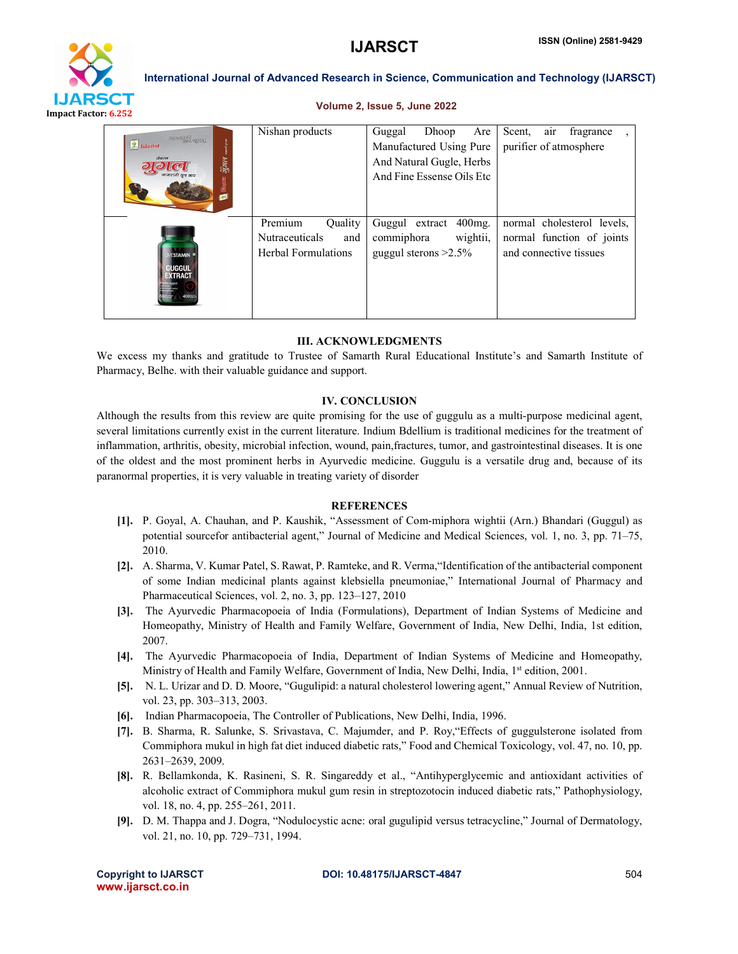

#### Volume 2, Issue 5, June 2022

| <b>FRANKLING</b> CONTROL<br>$\mathcal{L}$ निशाल<br>नेचरल<br>जुगल | Nishan products                                                                  | Dhoop<br>Guggal<br>Are<br>Manufactured Using Pure<br>And Natural Gugle, Herbs<br>And Fine Essense Oils Etc | Scent,<br>fragrance<br>air<br>purifier of atmosphere                              |
|------------------------------------------------------------------|----------------------------------------------------------------------------------|------------------------------------------------------------------------------------------------------------|-----------------------------------------------------------------------------------|
| <b>FSTAMIN</b><br>BUGGUL<br>XTRACT                               | Premium<br><b>Ouality</b><br><b>Nutraceuticals</b><br>and<br>Herbal Formulations | $400$ mg.<br>Guggul extract<br>wightii,<br>commiphora<br>guggul sterons $>2.5\%$                           | normal cholesterol levels,<br>normal function of joints<br>and connective tissues |

#### III. ACKNOWLEDGMENTS

We excess my thanks and gratitude to Trustee of Samarth Rural Educational Institute's and Samarth Institute of Pharmacy, Belhe. with their valuable guidance and support.

#### IV. CONCLUSION

Although the results from this review are quite promising for the use of guggulu as a multi-purpose medicinal agent, several limitations currently exist in the current literature. Indium Bdellium is traditional medicines for the treatment of inflammation, arthritis, obesity, microbial infection, wound, pain,fractures, tumor, and gastrointestinal diseases. It is one of the oldest and the most prominent herbs in Ayurvedic medicine. Guggulu is a versatile drug and, because of its paranormal properties, it is very valuable in treating variety of disorder

#### **REFERENCES**

- [1]. P. Goyal, A. Chauhan, and P. Kaushik, "Assessment of Com-miphora wightii (Arn.) Bhandari (Guggul) as potential sourcefor antibacterial agent," Journal of Medicine and Medical Sciences, vol. 1, no. 3, pp. 71–75, 2010.
- [2]. A. Sharma, V. Kumar Patel, S. Rawat, P. Ramteke, and R. Verma,"Identification of the antibacterial component of some Indian medicinal plants against klebsiella pneumoniae," International Journal of Pharmacy and Pharmaceutical Sciences, vol. 2, no. 3, pp. 123–127, 2010
- [3]. The Ayurvedic Pharmacopoeia of India (Formulations), Department of Indian Systems of Medicine and Homeopathy, Ministry of Health and Family Welfare, Government of India, New Delhi, India, 1st edition, 2007.
- [4]. The Ayurvedic Pharmacopoeia of India, Department of Indian Systems of Medicine and Homeopathy, Ministry of Health and Family Welfare, Government of India, New Delhi, India, 1<sup>st</sup> edition, 2001.
- [5]. N. L. Urizar and D. D. Moore, "Gugulipid: a natural cholesterol lowering agent," Annual Review of Nutrition, vol. 23, pp. 303–313, 2003.
- [6]. Indian Pharmacopoeia, The Controller of Publications, New Delhi, India, 1996.
- [7]. B. Sharma, R. Salunke, S. Srivastava, C. Majumder, and P. Roy,"Effects of guggulsterone isolated from Commiphora mukul in high fat diet induced diabetic rats," Food and Chemical Toxicology, vol. 47, no. 10, pp. 2631–2639, 2009.
- [8]. R. Bellamkonda, K. Rasineni, S. R. Singareddy et al., "Antihyperglycemic and antioxidant activities of alcoholic extract of Commiphora mukul gum resin in streptozotocin induced diabetic rats," Pathophysiology, vol. 18, no. 4, pp. 255–261, 2011.
- [9]. D. M. Thappa and J. Dogra, "Nodulocystic acne: oral gugulipid versus tetracycline," Journal of Dermatology, vol. 21, no. 10, pp. 729–731, 1994.